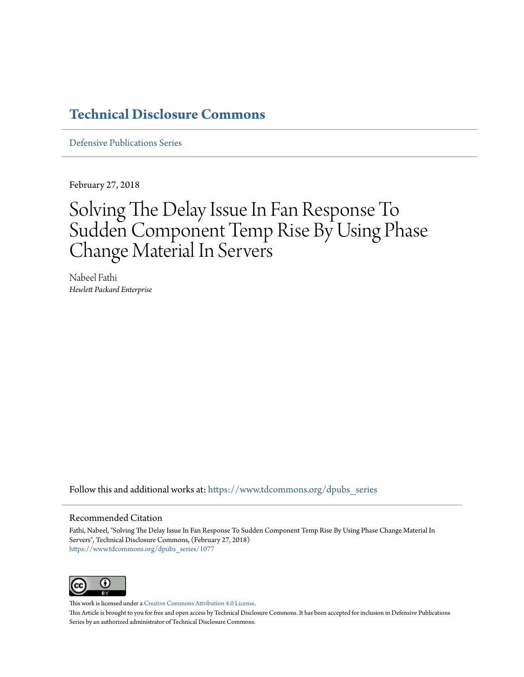## **[Technical Disclosure Commons](https://www.tdcommons.org?utm_source=www.tdcommons.org%2Fdpubs_series%2F1077&utm_medium=PDF&utm_campaign=PDFCoverPages)**

[Defensive Publications Series](https://www.tdcommons.org/dpubs_series?utm_source=www.tdcommons.org%2Fdpubs_series%2F1077&utm_medium=PDF&utm_campaign=PDFCoverPages)

February 27, 2018

# Solving The Delay Issue In Fan Response To Sudden Component Temp Rise By Using Phase Change Material In Servers

Nabeel Fathi *Hewlett Packard Enterprise*

Follow this and additional works at: [https://www.tdcommons.org/dpubs\\_series](https://www.tdcommons.org/dpubs_series?utm_source=www.tdcommons.org%2Fdpubs_series%2F1077&utm_medium=PDF&utm_campaign=PDFCoverPages)

#### Recommended Citation

Fathi, Nabeel, "Solving The Delay Issue In Fan Response To Sudden Component Temp Rise By Using Phase Change Material In Servers", Technical Disclosure Commons, (February 27, 2018) [https://www.tdcommons.org/dpubs\\_series/1077](https://www.tdcommons.org/dpubs_series/1077?utm_source=www.tdcommons.org%2Fdpubs_series%2F1077&utm_medium=PDF&utm_campaign=PDFCoverPages)



This work is licensed under a [Creative Commons Attribution 4.0 License.](http://creativecommons.org/licenses/by/4.0/deed.en_US)

This Article is brought to you for free and open access by Technical Disclosure Commons. It has been accepted for inclusion in Defensive Publications Series by an authorized administrator of Technical Disclosure Commons.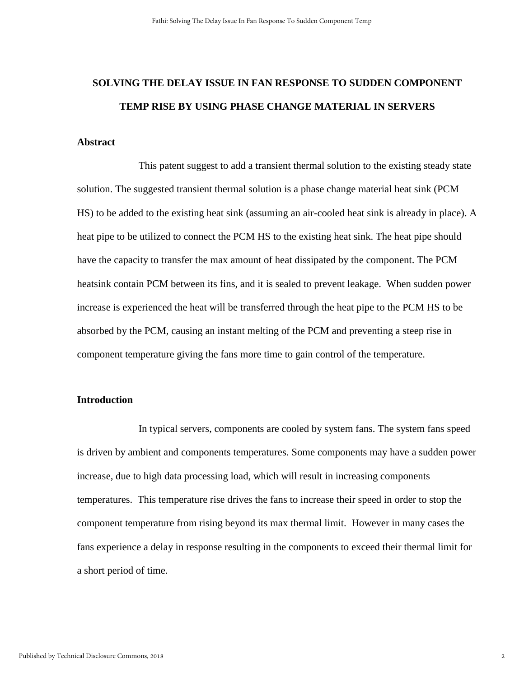# **SOLVING THE DELAY ISSUE IN FAN RESPONSE TO SUDDEN COMPONENT TEMP RISE BY USING PHASE CHANGE MATERIAL IN SERVERS**

#### **Abstract**

This patent suggest to add a transient thermal solution to the existing steady state solution. The suggested transient thermal solution is a phase change material heat sink (PCM HS) to be added to the existing heat sink (assuming an air-cooled heat sink is already in place). A heat pipe to be utilized to connect the PCM HS to the existing heat sink. The heat pipe should have the capacity to transfer the max amount of heat dissipated by the component. The PCM heatsink contain PCM between its fins, and it is sealed to prevent leakage. When sudden power increase is experienced the heat will be transferred through the heat pipe to the PCM HS to be absorbed by the PCM, causing an instant melting of the PCM and preventing a steep rise in component temperature giving the fans more time to gain control of the temperature.

### **Introduction**

In typical servers, components are cooled by system fans. The system fans speed is driven by ambient and components temperatures. Some components may have a sudden power increase, due to high data processing load, which will result in increasing components temperatures. This temperature rise drives the fans to increase their speed in order to stop the component temperature from rising beyond its max thermal limit. However in many cases the fans experience a delay in response resulting in the components to exceed their thermal limit for a short period of time.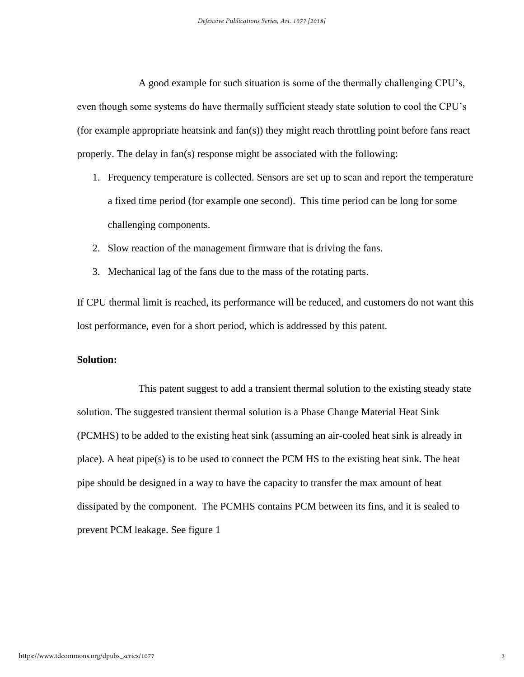A good example for such situation is some of the thermally challenging CPU's, even though some systems do have thermally sufficient steady state solution to cool the CPU's (for example appropriate heatsink and fan(s)) they might reach throttling point before fans react properly. The delay in fan(s) response might be associated with the following:

- 1. Frequency temperature is collected. Sensors are set up to scan and report the temperature a fixed time period (for example one second). This time period can be long for some challenging components.
- 2. Slow reaction of the management firmware that is driving the fans.
- 3. Mechanical lag of the fans due to the mass of the rotating parts.

If CPU thermal limit is reached, its performance will be reduced, and customers do not want this lost performance, even for a short period, which is addressed by this patent.

#### **Solution:**

This patent suggest to add a transient thermal solution to the existing steady state solution. The suggested transient thermal solution is a Phase Change Material Heat Sink (PCMHS) to be added to the existing heat sink (assuming an air-cooled heat sink is already in place). A heat pipe(s) is to be used to connect the PCM HS to the existing heat sink. The heat pipe should be designed in a way to have the capacity to transfer the max amount of heat dissipated by the component. The PCMHS contains PCM between its fins, and it is sealed to prevent PCM leakage. See figure 1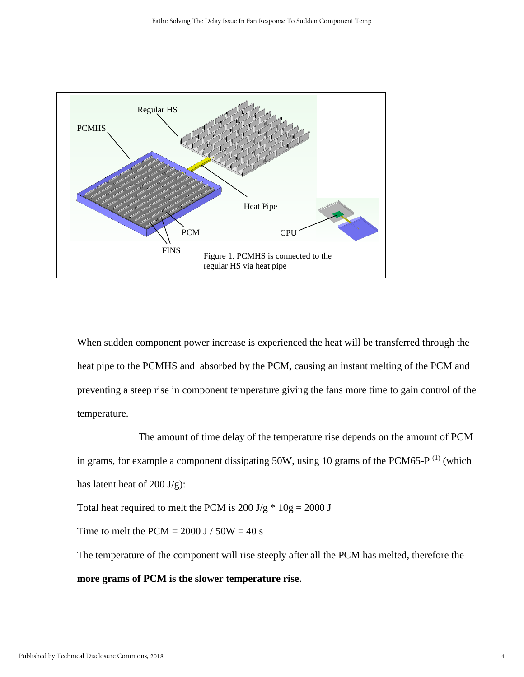

When sudden component power increase is experienced the heat will be transferred through the heat pipe to the PCMHS and absorbed by the PCM, causing an instant melting of the PCM and preventing a steep rise in component temperature giving the fans more time to gain control of the temperature.

The amount of time delay of the temperature rise depends on the amount of PCM in grams, for example a component dissipating 50W, using 10 grams of the PCM65-P $^{(1)}$  (which has latent heat of  $200 \text{ J/g}$ :

Total heat required to melt the PCM is  $200 \text{ J/g} \cdot 10 \text{ g} = 2000 \text{ J}$ 

Time to melt the PCM =  $2000$  J /  $50W = 40$  s

The temperature of the component will rise steeply after all the PCM has melted, therefore the **more grams of PCM is the slower temperature rise**.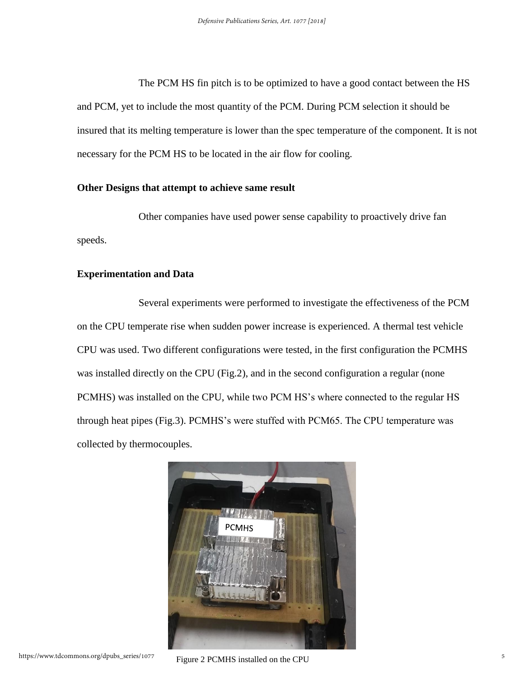The PCM HS fin pitch is to be optimized to have a good contact between the HS and PCM, yet to include the most quantity of the PCM. During PCM selection it should be insured that its melting temperature is lower than the spec temperature of the component. It is not necessary for the PCM HS to be located in the air flow for cooling.

#### **Other Designs that attempt to achieve same result**

Other companies have used power sense capability to proactively drive fan speeds.

#### **Experimentation and Data**

Several experiments were performed to investigate the effectiveness of the PCM on the CPU temperate rise when sudden power increase is experienced. A thermal test vehicle CPU was used. Two different configurations were tested, in the first configuration the PCMHS was installed directly on the CPU (Fig.2), and in the second configuration a regular (none PCMHS) was installed on the CPU, while two PCM HS's where connected to the regular HS through heat pipes (Fig.3). PCMHS's were stuffed with PCM65. The CPU temperature was collected by thermocouples.

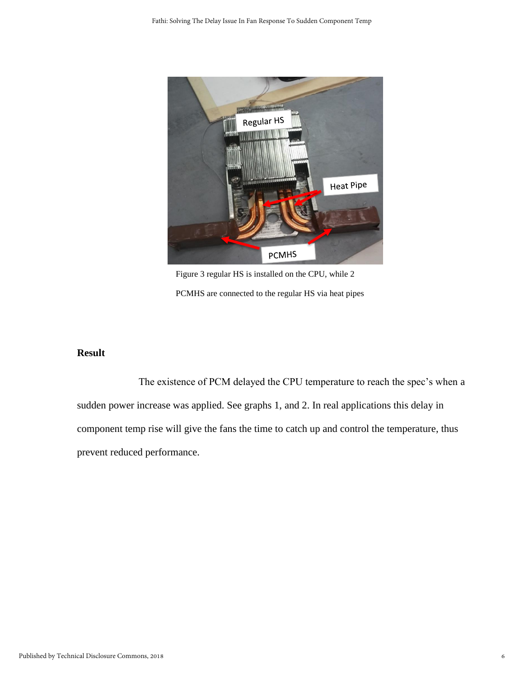

Figure 3 regular HS is installed on the CPU, while 2 PCMHS are connected to the regular HS via heat pipes

## **Result**

The existence of PCM delayed the CPU temperature to reach the spec's when a sudden power increase was applied. See graphs 1, and 2. In real applications this delay in component temp rise will give the fans the time to catch up and control the temperature, thus prevent reduced performance.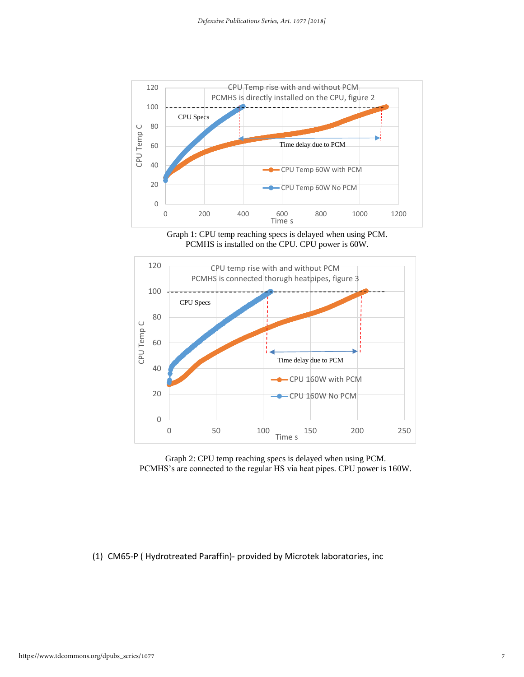

Graph 1: CPU temp reaching specs is delayed when using PCM. PCMHS is installed on the CPU. CPU power is 60W.



Graph 2: CPU temp reaching specs is delayed when using PCM. PCMHS's are connected to the regular HS via heat pipes. CPU power is 160W.

(1) CM65-P ( Hydrotreated Paraffin)- provided by Microtek laboratories, inc